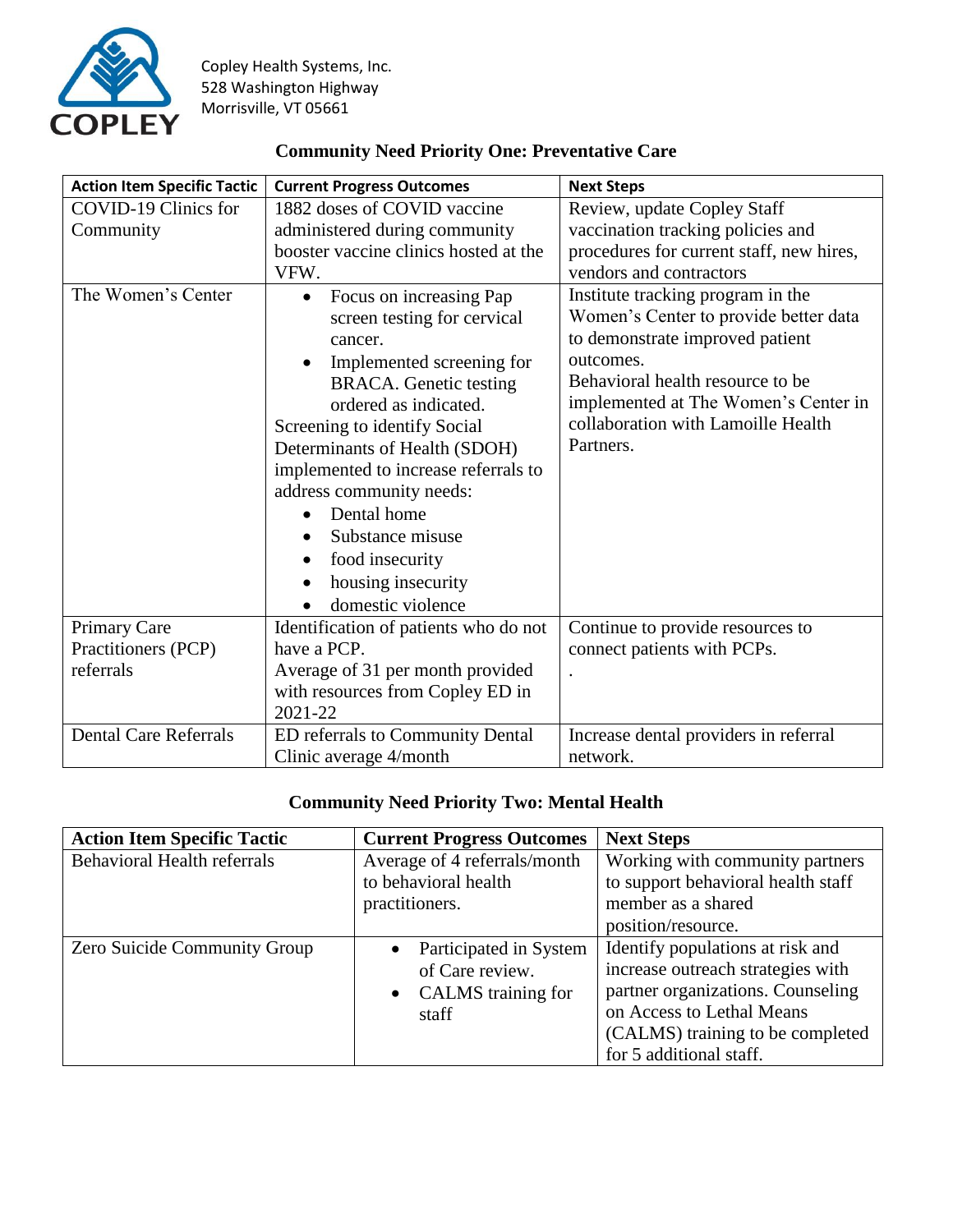

## **Community Need Priority One: Preventative Care**

| <b>Action Item Specific Tactic</b> | <b>Current Progress Outcomes</b>                                                                                                                                                                                                                                                                                                                                                                     | <b>Next Steps</b>                                                                                                                                                                                                                                         |
|------------------------------------|------------------------------------------------------------------------------------------------------------------------------------------------------------------------------------------------------------------------------------------------------------------------------------------------------------------------------------------------------------------------------------------------------|-----------------------------------------------------------------------------------------------------------------------------------------------------------------------------------------------------------------------------------------------------------|
| COVID-19 Clinics for               | 1882 doses of COVID vaccine                                                                                                                                                                                                                                                                                                                                                                          | Review, update Copley Staff                                                                                                                                                                                                                               |
| Community                          | administered during community                                                                                                                                                                                                                                                                                                                                                                        | vaccination tracking policies and                                                                                                                                                                                                                         |
|                                    | booster vaccine clinics hosted at the                                                                                                                                                                                                                                                                                                                                                                | procedures for current staff, new hires,                                                                                                                                                                                                                  |
|                                    | VFW.                                                                                                                                                                                                                                                                                                                                                                                                 | vendors and contractors                                                                                                                                                                                                                                   |
| The Women's Center                 | Focus on increasing Pap<br>$\bullet$<br>screen testing for cervical<br>cancer.<br>Implemented screening for<br><b>BRACA</b> . Genetic testing<br>ordered as indicated.<br>Screening to identify Social<br>Determinants of Health (SDOH)<br>implemented to increase referrals to<br>address community needs:<br>Dental home<br>Substance misuse<br>food insecurity<br>housing insecurity<br>$\bullet$ | Institute tracking program in the<br>Women's Center to provide better data<br>to demonstrate improved patient<br>outcomes.<br>Behavioral health resource to be<br>implemented at The Women's Center in<br>collaboration with Lamoille Health<br>Partners. |
|                                    | domestic violence<br>$\bullet$                                                                                                                                                                                                                                                                                                                                                                       |                                                                                                                                                                                                                                                           |
| Primary Care                       | Identification of patients who do not                                                                                                                                                                                                                                                                                                                                                                | Continue to provide resources to                                                                                                                                                                                                                          |
| Practitioners (PCP)                | have a PCP.                                                                                                                                                                                                                                                                                                                                                                                          | connect patients with PCPs.                                                                                                                                                                                                                               |
| referrals                          | Average of 31 per month provided<br>with resources from Copley ED in<br>2021-22                                                                                                                                                                                                                                                                                                                      |                                                                                                                                                                                                                                                           |
| <b>Dental Care Referrals</b>       | ED referrals to Community Dental                                                                                                                                                                                                                                                                                                                                                                     | Increase dental providers in referral                                                                                                                                                                                                                     |
|                                    | Clinic average 4/month                                                                                                                                                                                                                                                                                                                                                                               | network.                                                                                                                                                                                                                                                  |

## **Community Need Priority Two: Mental Health**

| <b>Action Item Specific Tactic</b> | <b>Current Progress Outcomes</b>                                                      | <b>Next Steps</b>                                                                                                                                                           |
|------------------------------------|---------------------------------------------------------------------------------------|-----------------------------------------------------------------------------------------------------------------------------------------------------------------------------|
| <b>Behavioral Health referrals</b> | Average of 4 referrals/month<br>to behavioral health                                  | Working with community partners<br>to support behavioral health staff                                                                                                       |
|                                    | practitioners.                                                                        | member as a shared                                                                                                                                                          |
|                                    |                                                                                       | position/resource.                                                                                                                                                          |
| Zero Suicide Community Group       | Participated in System<br>of Care review.<br>CALMS training for<br>$\bullet$<br>staff | Identify populations at risk and<br>increase outreach strategies with<br>partner organizations. Counseling<br>on Access to Lethal Means<br>(CALMS) training to be completed |
|                                    |                                                                                       | for 5 additional staff.                                                                                                                                                     |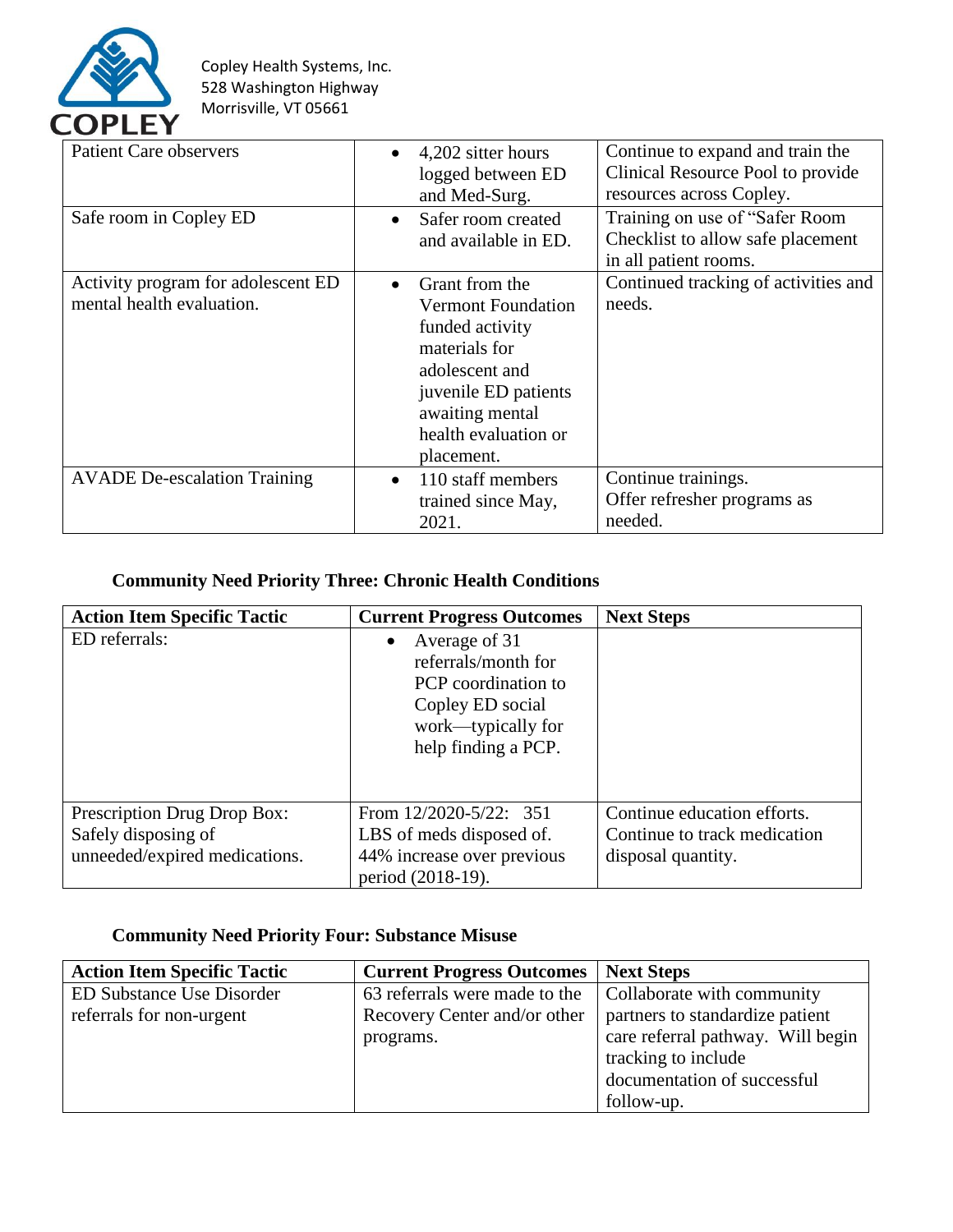

Copley Health Systems, Inc. 528 Washington Highway Morrisville, VT 05661

| <b>Patient Care observers</b>                                   | 4,202 sitter hours<br>$\bullet$<br>logged between ED<br>and Med-Surg.                                                                                                                           | Continue to expand and train the<br>Clinical Resource Pool to provide<br>resources across Copley. |
|-----------------------------------------------------------------|-------------------------------------------------------------------------------------------------------------------------------------------------------------------------------------------------|---------------------------------------------------------------------------------------------------|
| Safe room in Copley ED                                          | Safer room created<br>$\bullet$<br>and available in ED.                                                                                                                                         | Training on use of "Safer Room"<br>Checklist to allow safe placement<br>in all patient rooms.     |
| Activity program for adolescent ED<br>mental health evaluation. | Grant from the<br>$\bullet$<br><b>Vermont Foundation</b><br>funded activity<br>materials for<br>adolescent and<br>juvenile ED patients<br>awaiting mental<br>health evaluation or<br>placement. | Continued tracking of activities and<br>needs.                                                    |
| <b>AVADE De-escalation Training</b>                             | 110 staff members<br>$\bullet$<br>trained since May,<br>2021.                                                                                                                                   | Continue trainings.<br>Offer refresher programs as<br>needed.                                     |

## **Community Need Priority Three: Chronic Health Conditions**

| <b>Action Item Specific Tactic</b>                                                  | <b>Current Progress Outcomes</b>                                                                                                          | <b>Next Steps</b>                                                                 |
|-------------------------------------------------------------------------------------|-------------------------------------------------------------------------------------------------------------------------------------------|-----------------------------------------------------------------------------------|
| ED referrals:                                                                       | Average of 31<br>$\bullet$<br>referrals/month for<br>PCP coordination to<br>Copley ED social<br>work—typically for<br>help finding a PCP. |                                                                                   |
| Prescription Drug Drop Box:<br>Safely disposing of<br>unneeded/expired medications. | From $12/2020 - 5/22$ : 351<br>LBS of meds disposed of.<br>44% increase over previous                                                     | Continue education efforts.<br>Continue to track medication<br>disposal quantity. |
|                                                                                     | period (2018-19).                                                                                                                         |                                                                                   |

## **Community Need Priority Four: Substance Misuse**

| <b>Action Item Specific Tactic</b> | <b>Current Progress Outcomes</b> | <b>Next Steps</b>                 |
|------------------------------------|----------------------------------|-----------------------------------|
| <b>ED Substance Use Disorder</b>   | 63 referrals were made to the    | Collaborate with community        |
| referrals for non-urgent           | Recovery Center and/or other     | partners to standardize patient   |
|                                    | programs.                        | care referral pathway. Will begin |
|                                    |                                  | tracking to include               |
|                                    |                                  | documentation of successful       |
|                                    |                                  | follow-up.                        |